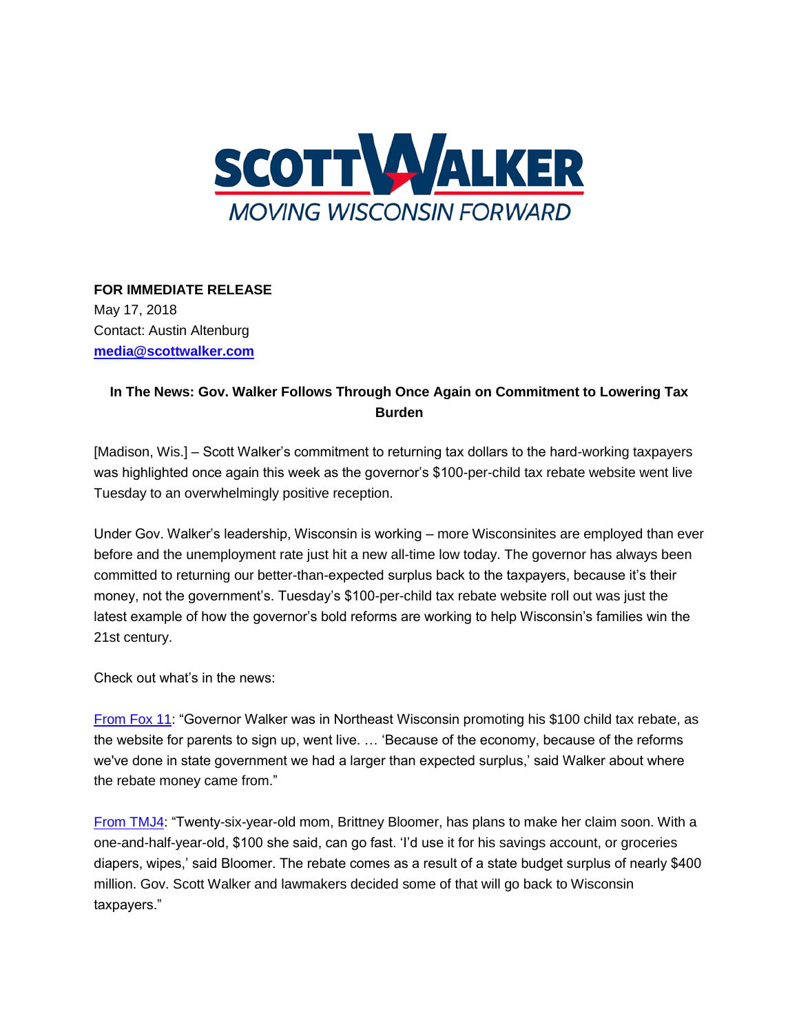

## **FOR IMMEDIATE RELEASE** May 17, 2018

Contact: Austin Altenburg **[media@scottwalker.com](mailto:media@scottwalker.com)**

## **In The News: Gov. Walker Follows Through Once Again on Commitment to Lowering Tax Burden**

[Madison, Wis.] – Scott Walker's commitment to returning tax dollars to the hard-working taxpayers was highlighted once again this week as the governor's \$100-per-child tax rebate website went live Tuesday to an overwhelmingly positive reception.

Under Gov. Walker's leadership, Wisconsin is working – more Wisconsinites are employed than ever before and the unemployment rate just hit a new all-time low today. The governor has always been committed to returning our better-than-expected surplus back to the taxpayers, because it's their money, not the government's. Tuesday's \$100-per-child tax rebate website roll out was just the latest example of how the governor's bold reforms are working to help Wisconsin's families win the 21st century.

Check out what's in the news:

[From Fox 11:](http://platformcommunications.cmail20.com/t/j-l-bukjtit-ejkhriyui-y/) "Governor Walker was in Northeast Wisconsin promoting his \$100 child tax rebate, as the website for parents to sign up, went live. … 'Because of the economy, because of the reforms we've done in state government we had a larger than expected surplus,' said Walker about where the rebate money came from."

[From TMJ4:](http://platformcommunications.cmail20.com/t/j-l-bukjtit-ejkhriyui-j/) "Twenty-six-year-old mom, Brittney Bloomer, has plans to make her claim soon. With a one-and-half-year-old, \$100 she said, can go fast. 'I'd use it for his savings account, or groceries diapers, wipes,' said Bloomer. The rebate comes as a result of a state budget surplus of nearly \$400 million. Gov. Scott Walker and lawmakers decided some of that will go back to Wisconsin taxpayers."